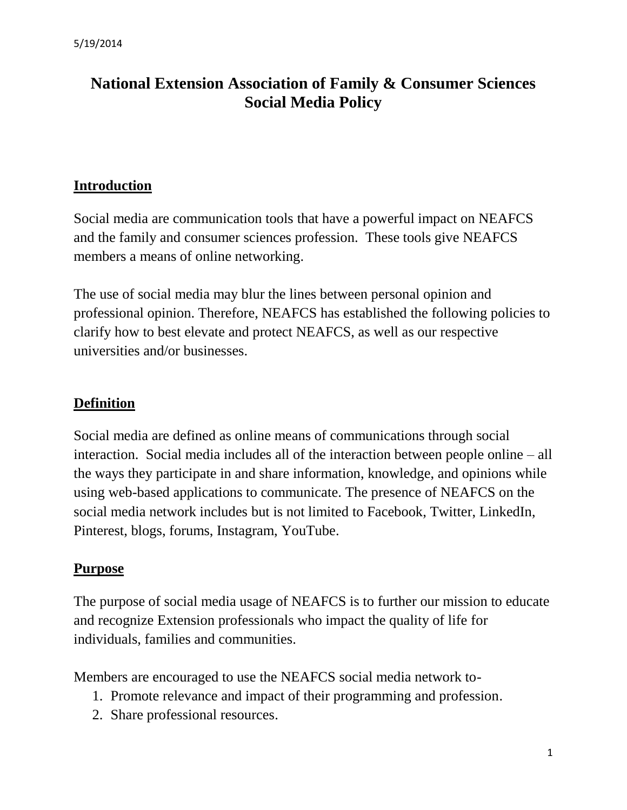# **National Extension Association of Family & Consumer Sciences Social Media Policy**

### **Introduction**

Social media are communication tools that have a powerful impact on NEAFCS and the family and consumer sciences profession. These tools give NEAFCS members a means of online networking.

The use of social media may blur the lines between personal opinion and professional opinion. Therefore, NEAFCS has established the following policies to clarify how to best elevate and protect NEAFCS, as well as our respective universities and/or businesses.

## **Definition**

Social media are defined as online means of communications through social interaction. Social media includes all of the interaction between people online – all the ways they participate in and share information, knowledge, and opinions while using web-based applications to communicate. The presence of NEAFCS on the social media network includes but is not limited to Facebook, Twitter, LinkedIn, Pinterest, blogs, forums, Instagram, YouTube.

### **Purpose**

The purpose of social media usage of NEAFCS is to further our mission to educate and recognize Extension professionals who impact the quality of life for individuals, families and communities.

Members are encouraged to use the NEAFCS social media network to-

- 1. Promote relevance and impact of their programming and profession.
- 2. Share professional resources.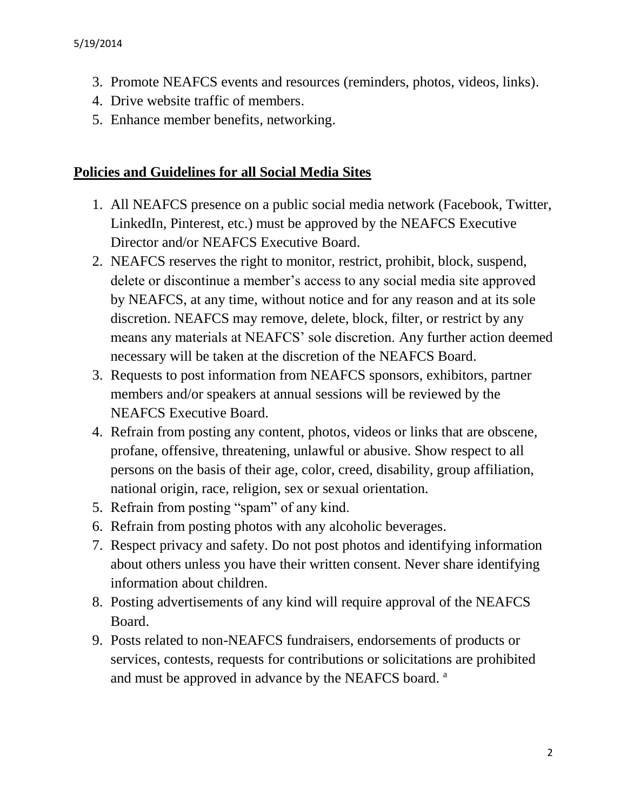- 3. Promote NEAFCS events and resources (reminders, photos, videos, links).
- 4. Drive website traffic of members.
- 5. Enhance member benefits, networking.

#### **Policies and Guidelines for all Social Media Sites**

- 1. All NEAFCS presence on a public social media network (Facebook, Twitter, LinkedIn, Pinterest, etc.) must be approved by the NEAFCS Executive Director and/or NEAFCS Executive Board.
- 2. NEAFCS reserves the right to monitor, restrict, prohibit, block, suspend, delete or discontinue a member's access to any social media site approved by NEAFCS, at any time, without notice and for any reason and at its sole discretion. NEAFCS may remove, delete, block, filter, or restrict by any means any materials at NEAFCS' sole discretion. Any further action deemed necessary will be taken at the discretion of the NEAFCS Board.
- 3. Requests to post information from NEAFCS sponsors, exhibitors, partner members and/or speakers at annual sessions will be reviewed by the NEAFCS Executive Board.
- 4. Refrain from posting any content, photos, videos or links that are obscene, profane, offensive, threatening, unlawful or abusive. Show respect to all persons on the basis of their age, color, creed, disability, group affiliation, national origin, race, religion, sex or sexual orientation.
- 5. Refrain from posting "spam" of any kind.
- 6. Refrain from posting photos with any alcoholic beverages.
- 7. Respect privacy and safety. Do not post photos and identifying information about others unless you have their written consent. Never share identifying information about children.
- 8. Posting advertisements of any kind will require approval of the NEAFCS Board.
- 9. Posts related to non-NEAFCS fundraisers, endorsements of products or services, contests, requests for contributions or solicitations are prohibited and must be approved in advance by the NEAFCS board. <sup>a</sup>